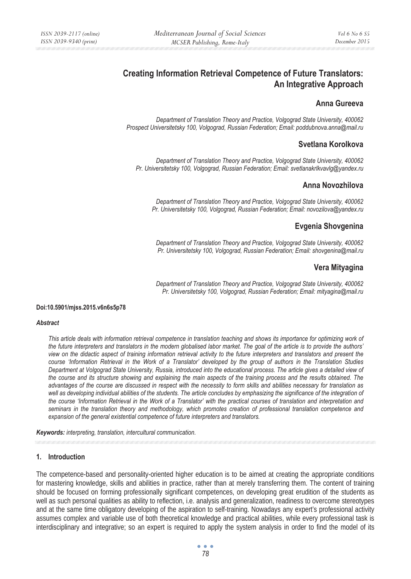# **Creating Information Retrieval Competence of Future Translators: An Integrative Approach**

### **Anna Gureeva**

 *Department of Translation Theory and Practice, Volgograd State University, 400062 Prospect Universitetsky 100, Volgograd, Russian Federation; Email: poddubnova.anna@mail.ru* 

### **Svetlana Korolkova**

*Department of Translation Theory and Practice, Volgograd State University, 400062 Pr. Universitetsky 100, Volgograd, Russian Federation; Email: svetlanakrlkvavlg@yandex.ru* 

### **Anna Novozhilova**

*Department of Translation Theory and Practice, Volgograd State University, 400062 Pr. Universitetsky 100, Volgograd, Russian Federation; Email: novozilova@yandex.ru* 

## **Evgenia Shovgenina**

*Department of Translation Theory and Practice, Volgograd State University, 400062 Pr. Universitetsky 100, Volgograd, Russian Federation; Email: shovgenina@mail.ru* 

## **Vera Mityagina**

*Department of Translation Theory and Practice, Volgograd State University, 400062 Pr. Universitetsky 100, Volgograd, Russian Federation; Email: mityagina@mail.ru* 

#### **Doi:10.5901/mjss.2015.v6n6s5p78**

#### *Abstract*

*This article deals with information retrieval competence in translation teaching and shows its importance for optimizing work of the future interpreters and translators in the modern globalised labor market. The goal of the article is to provide the authors' view on the didactic aspect of training information retrieval activity to the future interpreters and translators and present the course 'Information Retrieval in the Work of a Translator' developed by the group of authors in the Translation Studies Department at Volgograd State University, Russia, introduced into the educational process. The article gives a detailed view of the course and its structure showing and explaining the main aspects of the training process and the results obtained. The advantages of the course are discussed in respect with the necessity to form skills and abilities necessary for translation as*  well as developing individual abilities of the students. The article concludes by emphasizing the significance of the integration of *the course 'Information Retrieval in the Work of a Translator' with the practical courses of translation and interpretation and seminars in the translation theory and methodology, which promotes creation of professional translation competence and expansion of the general existential competence of future interpreters and translators.* 

*Keywords: interpreting, translation, intercultural communication.*

#### **1. Introduction**

The competence-based and personality-oriented higher education is to be aimed at creating the appropriate conditions for mastering knowledge, skills and abilities in practice, rather than at merely transferring them. The content of training should be focused on forming professionally significant competences, on developing great erudition of the students as well as such personal qualities as ability to reflection, i.e. analysis and generalization, readiness to overcome stereotypes and at the same time obligatory developing of the aspiration to self-training. Nowadays any expert's professional activity assumes complex and variable use of both theoretical knowledge and practical abilities, while every professional task is interdisciplinary and integrative; so an expert is required to apply the system analysis in order to find the model of its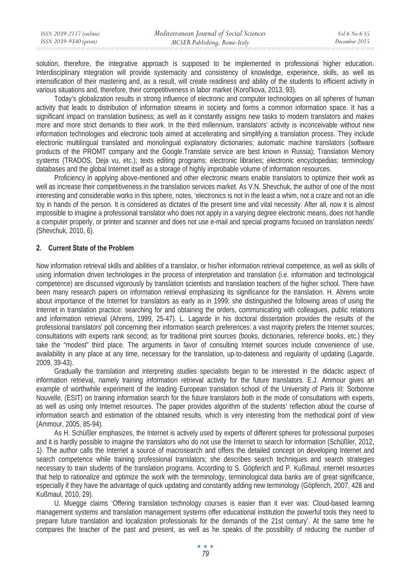| ISSN 2039-2117 (online) | Mediterranean Journal of Social Sciences | Vol 6 No 6 S5 |
|-------------------------|------------------------------------------|---------------|
| ISSN 2039-9340 (print)  | MCSER Publishing, Rome-Italy             | December 2015 |

solution, therefore, the integrative approach is supposed to be implemented in professional higher education. Interdisciplinary integration will provide systemacity and consistency of knowledge, experience, skills, as well as intensification of their mastering and, as a result, will create readiness and ability of the students to efficient activity in various situations and, therefore, their competitiveness in labor market (Korol'kova, 2013, 93).

Today's globalization results in strong influence of electronic and computer technologies on all spheres of human activity that leads to distribution of information streams in society and forms a common information space. It has a significant impact on translation business; as well as it constantly assigns new tasks to modern translators and makes more and more strict demands to their work. In the third millennium, translators' activity is inconceivable without new information technologies and electronic tools aimed at accelerating and simplifying a translation process. They include electronic multilingual translated and monolingual explanatory dictionaries; automatic machine translators (software products of the PROMT company and the Google.Translate service are best known in Russia); Translation Memory systems (TRADOS, Deja vu, etc.); texts editing programs; electronic libraries; electronic encyclopedias; terminology databases and the global Internet itself as a storage of highly improbable volume of information resources.

Proficiency in applying above-mentioned and other electronic means enable translators to optimize their work as well as increase their competitiveness in the translation services market. As V.N. Shevchuk, the author of one of the most interesting and considerable works in this sphere, notes, 'electronics is not in the least a whim, not a craze and not an idle toy in hands of the person. It is considered as dictates of the present time and vital necessity. After all, now it is almost impossible to imagine a professional translator who does not apply in a varying degree electronic means, does not handle a computer properly, or printer and scanner and does not use e-mail and special programs focused on translation needs' (Shevchuk, 2010, 6).

### **2. Current State of the Problem**

Now information retrieval skills and abilities of a translator, or his/her information retrieval competence, as well as skills of using information driven technologies in the process of interpretation and translation (i.e. information and technological competence) are discussed vigorously by translation scientists and translation teachers of the higher school. There have been many research papers on information retrieval emphasizing its significance for the translation. H. Ahrens wrote about importance of the Internet for translators as early as in 1999; she distinguished the following areas of using the Internet in translation practice: searching for and obtaining the orders, communicating with colleagues, public relations and information retrieval (Ahrens, 1999, 25-47). L. Lagarde in his doctoral dissertation provides the results of the professional translators' poll concerning their information search preferences: a vast majority prefers the Internet sources; consultations with experts rank second; as for traditional print sources (books, dictionaries, reference books, etc.) they take the "modest" third place. The arguments in favor of consulting Internet sources include convenience of use, availability in any place at any time, necessary for the translation, up-to-dateness and regularity of updating (Lagarde, 2009, 39-43).

Gradually the translation and interpreting studies specialists began to be interested in the didactic aspect of information retrieval, namely training information retrieval activity for the future translators. E.J. Ammour gives an example of worthwhile experiment of the leading European translation school of the University of Paris III: Sorbonne Nouvelle, (ESIT) on training information search for the future translators both in the mode of consultations with experts, as well as using only Internet resources. The paper provides algorithm of the students' reflection about the course of information search and estimation of the obtained results, which is very interesting from the methodical point of view (Ammour, 2005, 85-94).

As H. Schüßler emphasizes, the Internet is actively used by experts of different spheres for professional purposes and it is hardly possible to imagine the translators who do not use the Internet to search for information (Schüßler, 2012, 1). The author calls the Internet a source of macrosearch and offers the detailed concept on developing Internet and search competence while training professional translators; she describes search techniques and search strategies necessary to train students of the translation programs. According to S. Göpferich and P. Kußmaul, internet resources that help to rationalize and optimize the work with the terminology, terminological data banks are of great significance, especially if they have the advantage of quick updating and constantly adding new terminology (Göpferich, 2007, 428 and Kußmaul, 2010, 29).

U. Muegge claims 'Offering translation technology courses is easier than it ever was: Cloud-based learning management systems and translation management systems offer educational institution the powerful tools they need to prepare future translation and localization professionals for the demands of the 21st century'. At the same time he compares the teacher of the past and present, as well as he speaks of the possibility of reducing the number of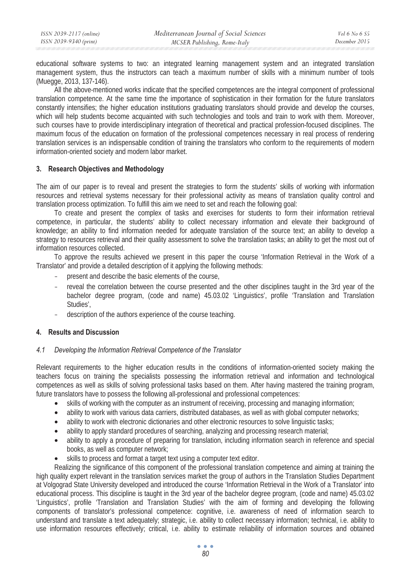educational software systems to two: an integrated learning management system and an integrated translation management system, thus the instructors can teach a maximum number of skills with a minimum number of tools (Muegge, 2013, 137-146).

All the above-mentioned works indicate that the specified competences are the integral component of professional translation competence. At the same time the importance of sophistication in their formation for the future translators constantly intensifies; the higher education institutions graduating translators should provide and develop the courses, which will help students become acquainted with such technologies and tools and train to work with them. Moreover, such courses have to provide interdisciplinary integration of theoretical and practical profession-focused disciplines. The maximum focus of the education on formation of the professional competences necessary in real process of rendering translation services is an indispensable condition of training the translators who conform to the requirements of modern information-oriented society and modern labor market.

### **3. Research Objectives and Methodology**

The aim of our paper is to reveal and present the strategies to form the students' skills of working with information resources and retrieval systems necessary for their professional activity as means of translation quality control and translation process optimization. To fulfill this aim we need to set and reach the following goal:

To create and present the complex of tasks and exercises for students to form their information retrieval competence, in particular, the students' ability to collect necessary information and elevate their background of knowledge; an ability to find information needed for adequate translation of the source text; an ability to develop a strategy to resources retrieval and their quality assessment to solve the translation tasks; an ability to get the most out of information resources collected.

To approve the results achieved we present in this paper the course 'Information Retrieval in the Work of a Translator' and provide a detailed description of it applying the following methods:

- present and describe the basic elements of the course,
- reveal the correlation between the course presented and the other disciplines taught in the 3rd year of the bachelor degree program, (code and name) 45.03.02 'Linguistics', profile 'Translation and Translation Studies',
- description of the authors experience of the course teaching.

### **4. Results and Discussion**

### *4.1 Developing the Information Retrieval Competence of the Translator*

Relevant requirements to the higher education results in the conditions of information-oriented society making the teachers focus on training the specialists possessing the information retrieval and information and technological competences as well as skills of solving professional tasks based on them. After having mastered the training program, future translators have to possess the following all-professional and professional competences:

- skills of working with the computer as an instrument of receiving, processing and managing information;
- ability to work with various data carriers, distributed databases, as well as with global computer networks;
- ability to work with electronic dictionaries and other electronic resources to solve linguistic tasks;
- ability to apply standard procedures of searching, analyzing and processing research material;
- ability to apply a procedure of preparing for translation, including information search in reference and special books, as well as computer network;
- skills to process and format a target text using a computer text editor.

Realizing the significance of this component of the professional translation competence and aiming at training the high quality expert relevant in the translation services market the group of authors in the Translation Studies Department at Volgograd State University developed and introduced the course 'Information Retrieval in the Work of a Translator' into educational process. This discipline is taught in the 3rd year of the bachelor degree program, (code and name) 45.03.02 'Linguistics', profile 'Translation and Translation Studies' with the aim of forming and developing the following components of translator's professional competence: cognitive, i.e. awareness of need of information search to understand and translate a text adequately; strategic, i.e. ability to collect necessary information; technical, i.e. ability to use information resources effectively; critical, i.e. ability to estimate reliability of information sources and obtained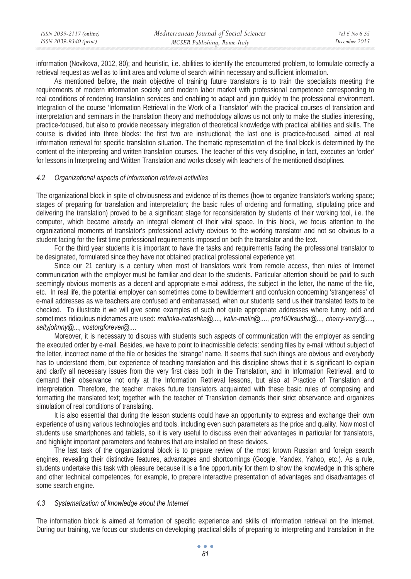information (Novikova, 2012, 80); and heuristic, i.e. abilities to identify the encountered problem, to formulate correctly a retrieval request as well as to limit area and volume of search within necessary and sufficient information.

As mentioned before, the main objective of training future translators is to train the specialists meeting the requirements of modern information society and modern labor market with professional competence corresponding to real conditions of rendering translation services and enabling to adapt and join quickly to the professional environment. Integration of the course 'Information Retrieval in the Work of a Translator' with the practical courses of translation and interpretation and seminars in the translation theory and methodology allows us not only to make the studies interesting, practice-focused, but also to provide necessary integration of theoretical knowledge with practical abilities and skills. The course is divided into three blocks: the first two are instructional; the last one is practice-focused, aimed at real information retrieval for specific translation situation. The thematic representation of the final block is determined by the content of the interpreting and written translation courses. The teacher of this very discipline, in fact, executes an 'order' for lessons in Interpreting and Written Translation and works closely with teachers of the mentioned disciplines.

#### *4.2 Organizational aspects of information retrieval activities*

The organizational block in spite of obviousness and evidence of its themes (how to organize translator's working space; stages of preparing for translation and interpretation; the basic rules of ordering and formatting, stipulating price and delivering the translation) proved to be a significant stage for reconsideration by students of their working tool, i.e. the computer, which became already an integral element of their vital space. In this block, we focus attention to the organizational moments of translator's professional activity obvious to the working translator and not so obvious to a student facing for the first time professional requirements imposed on both the translator and the text.

For the third year students it is important to have the tasks and requirements facing the professional translator to be designated, formulated since they have not obtained practical professional experience yet.

Since our 21 century is a century when most of translators work from remote access, then rules of Internet communication with the employer must be familiar and clear to the students. Particular attention should be paid to such seemingly obvious moments as a decent and appropriate e-mail address, the subject in the letter, the name of the file, etc. In real life, the potential employer can sometimes come to bewilderment and confusion concerning 'strangeness' of e-mail addresses as we teachers are confused and embarrassed, when our students send us their translated texts to be checked. To illustrate it we will give some examples of such not quite appropriate addresses where funny, odd and sometimes ridiculous nicknames are used: *malinka-natashka@...., kalin-malin@...., pro100ksusha@..., cherry-verry@...., saltyjohnny@..., vostorgforever@...*.

Moreover, it is necessary to discuss with students such aspects of communication with the employer as sending the executed order by e-mail. Besides, we have to point to inadmissible defects: sending files by e-mail without subject of the letter, incorrect name of the file or besides the 'strange' name. It seems that such things are obvious and everybody has to understand them, but experience of teaching translation and this discipline shows that it is significant to explain and clarify all necessary issues from the very first class both in the Translation, and in Information Retrieval, and to demand their observance not only at the Information Retrieval lessons, but also at Practice of Translation and Interpretation. Therefore, the teacher makes future translators acquainted with these basic rules of composing and formatting the translated text; together with the teacher of Translation demands their strict observance and organizes simulation of real conditions of translating.

It is also essential that during the lesson students could have an opportunity to express and exchange their own experience of using various technologies and tools, including even such parameters as the price and quality. Now most of students use smartphones and tablets, so it is very useful to discuss even their advantages in particular for translators, and highlight important parameters and features that are installed on these devices.

The last task of the organizational block is to prepare review of the most known Russian and foreign search engines, revealing their distinctive features, advantages and shortcomings (Google, Yandex, Yahoo, etc.). As a rule, students undertake this task with pleasure because it is a fine opportunity for them to show the knowledge in this sphere and other technical competences, for example, to prepare interactive presentation of advantages and disadvantages of some search engine.

#### *4.3 Systematization of knowledge about the Internet*

The information block is aimed at formation of specific experience and skills of information retrieval on the Internet. During our training, we focus our students on developing practical skills of preparing to interpreting and translation in the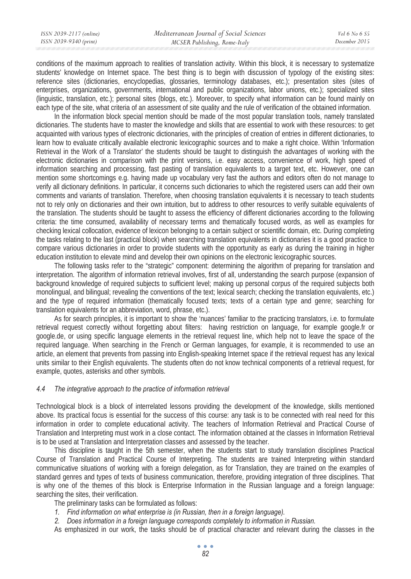| ISSN 2039-2117 (online) | Mediterranean Journal of Social Sciences | Vol 6 No 6 S5 |
|-------------------------|------------------------------------------|---------------|
| ISSN 2039-9340 (print)  | MCSER Publishing, Rome-Italy             | December 2015 |

conditions of the maximum approach to realities of translation activity. Within this block, it is necessary to systematize students' knowledge on Internet space. The best thing is to begin with discussion of typology of the existing sites: reference sites (dictionaries, encyclopedias, glossaries, terminology databases, etc.); presentation sites (sites of enterprises, organizations, governments, international and public organizations, labor unions, etc.); specialized sites (linguistic, translation, etc.); personal sites (blogs, etc.). Moreover, to specify what information can be found mainly on each type of the site, what criteria of an assessment of site quality and the rule of verification of the obtained information.

In the information block special mention should be made of the most popular translation tools, namely translated dictionaries. The students have to master the knowledge and skills that are essential to work with these resources: to get acquainted with various types of electronic dictionaries, with the principles of creation of entries in different dictionaries, to learn how to evaluate critically available electronic lexicographic sources and to make a right choice. Within 'Information Retrieval in the Work of a Translator' the students should be taught to distinguish the advantages of working with the electronic dictionaries in comparison with the print versions, i.e. easy access, convenience of work, high speed of information searching and processing, fast pasting of translation equivalents to a target text, etc. However, one can mention some shortcomings e.g. having made up vocabulary very fast the authors and editors often do not manage to verify all dictionary definitions. In particular, it concerns such dictionaries to which the registered users can add their own comments and variants of translation. Therefore, when choosing translation equivalents it is necessary to teach students not to rely only on dictionaries and their own intuition, but to address to other resources to verify suitable equivalents of the translation. The students should be taught to assess the efficiency of different dictionaries according to the following criteria: the time consumed, availability of necessary terms and thematically focused words, as well as examples for checking lexical collocation, evidence of lexicon belonging to a certain subject or scientific domain, etc. During completing the tasks relating to the last (practical block) when searching translation equivalents in dictionaries it is a good practice to compare various dictionaries in order to provide students with the opportunity as early as during the training in higher education institution to elevate mind and develop their own opinions on the electronic lexicographic sources.

The following tasks refer to the "strategic" component: determining the algorithm of preparing for translation and interpretation. The algorithm of information retrieval involves, first of all, understanding the search purpose (expansion of background knowledge of required subjects to sufficient level; making up personal corpus of the required subjects both monolingual, and bilingual; revealing the conventions of the text; lexical search; checking the translation equivalents, etc.) and the type of required information (thematically focused texts; texts of a certain type and genre; searching for translation equivalents for an abbreviation, word, phrase, etc.).

As for search principles, it is important to show the 'nuances' familiar to the practicing translators, i.e. to formulate retrieval request correctly without forgetting about filters: having restriction on language, for example google.fr or google.de, or using specific language elements in the retrieval request line, which help not to leave the space of the required language. When searching in the French or German languages, for example, it is recommended to use an article, an element that prevents from passing into English-speaking Internet space if the retrieval request has any lexical units similar to their English equivalents. The students often do not know technical components of a retrieval request, for example, quotes, asterisks and other symbols.

#### *4.4 The integrative approach to the practice of information retrieval*

Technological block is a block of interrelated lessons providing the development of the knowledge, skills mentioned above. Its practical focus is essential for the success of this course: any task is to be connected with real need for this information in order to complete educational activity. The teachers of Information Retrieval and Practical Course of Translation and Interpreting must work in a close contact. The information obtained at the classes in Information Retrieval is to be used at Translation and Interpretation classes and assessed by the teacher.

This discipline is taught in the 5th semester, when the students start to study translation disciplines Practical Course of Translation and Practical Course of Interpreting. The students are trained Interpreting within standard communicative situations of working with a foreign delegation, as for Translation, they are trained on the examples of standard genres and types of texts of business communication, therefore, providing integration of three disciplines. That is why one of the themes of this block is Enterprise Information in the Russian language and a foreign language: searching the sites, their verification.

The preliminary tasks can be formulated as follows:

- *1. Find information on what enterprise is (in Russian, then in a foreign language).*
- *2. Does information in a foreign language corresponds completely to information in Russian.*

As emphasized in our work, the tasks should be of practical character and relevant during the classes in the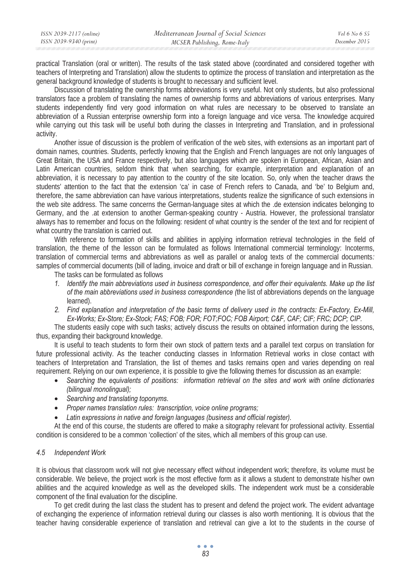practical Translation (oral or written). The results of the task stated above (coordinated and considered together with teachers of Interpreting and Translation) allow the students to optimize the process of translation and interpretation as the general background knowledge of students is brought to necessary and sufficient level.

Discussion of translating the ownership forms abbreviations is very useful. Not only students, but also professional translators face a problem of translating the names of ownership forms and abbreviations of various enterprises. Many students independently find very good information on what rules are necessary to be observed to translate an abbreviation of a Russian enterprise ownership form into a foreign language and vice versa. The knowledge acquired while carrying out this task will be useful both during the classes in Interpreting and Translation, and in professional activity.

Another issue of discussion is the problem of verification of the web sites, with extensions as an important part of domain names, countries. Students, perfectly knowing that the English and French languages are not only languages of Great Britain, the USA and France respectively, but also languages which are spoken in European, African, Asian and Latin American countries, seldom think that when searching, for example, interpretation and explanation of an abbreviation, it is necessary to pay attention to the country of the site location. So, only when the teacher draws the students' attention to the fact that the extension 'ca' in case of French refers to Canada, and 'be' to Belgium and, therefore, the same abbreviation can have various interpretations, students realize the significance of such extensions in the web site address. The same concerns the German-language sites at which the .de extension indicates belonging to Germany, and the .at extension to another German-speaking country - Austria. However, the professional translator always has to remember and focus on the following: resident of what country is the sender of the text and for recipient of what country the translation is carried out.

With reference to formation of skills and abilities in applying information retrieval technologies in the field of translation, the theme of the lesson can be formulated as follows International commercial terminology: Incoterms, translation of commercial terms and abbreviations as well as parallel or analog texts of the commercial documents*:*  samples of commercial documents (bill of lading, invoice and draft or bill of exchange in foreign language and in Russian.

The tasks can be formulated as follows

- *1. Identify the main abbreviations used in business correspondence, and offer their equivalents. Make up the list of the main abbreviations used in business correspondence (*the list of abbreviations depends on the language learned).
- *2. Find explanation and interpretation of the basic terms of delivery used in the contracts: Ex-Factory, Ex-Mill, Ex-Works; Ex-Store; Ex-Stock; FAS; FOB; FOR; FOT;FOC; FOB Airport; C&F, CAF; CIF; FRC; DCP; CIP.*

The students easily cope with such tasks; actively discuss the results on obtained information during the lessons, thus, expanding their background knowledge.

It is useful to teach students to form their own stock of pattern texts and a parallel text corpus on translation for future professional activity. As the teacher conducting classes in Information Retrieval works in close contact with teachers of Interpretation and Translation, the list of themes and tasks remains open and varies depending on real requirement. Relying on our own experience, it is possible to give the following themes for discussion as an example:

- *Searching the equivalents of positions: information retrieval on the sites and work with online dictionaries (bilingual monolingual);*
- *Searching and translating toponyms.*
- *Proper names translation rules: transcription, voice online programs;*
- *Latin expressions in native and foreign languages (business and official register).*

At the end of this course, the students are offered to make a sitography relevant for professional activity. Essential condition is considered to be a common 'collection' of the sites, which all members of this group can use.

#### *4.5 Independent Work*

It is obvious that classroom work will not give necessary effect without independent work; therefore, its volume must be considerable. We believe, the project work is the most effective form as it allows a student to demonstrate his/her own abilities and the acquired knowledge as well as the developed skills. The independent work must be a considerable component of the final evaluation for the discipline.

To get credit during the last class the student has to present and defend the project work. The evident advantage of exchanging the experience of information retrieval during our classes is also worth mentioning. It is obvious that the teacher having considerable experience of translation and retrieval can give a lot to the students in the course of